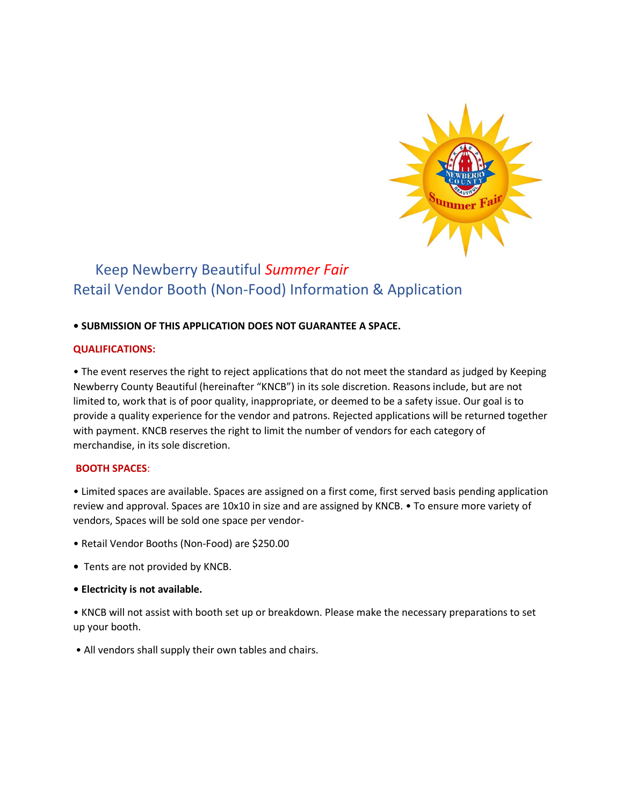

# Keep Newberry Beautiful *Summer Fair*  Retail Vendor Booth (Non-Food) Information & Application

# **• SUBMISSION OF THIS APPLICATION DOES NOT GUARANTEE A SPACE.**

#### **QUALIFICATIONS:**

• The event reserves the right to reject applications that do not meet the standard as judged by Keeping Newberry County Beautiful (hereinafter "KNCB") in its sole discretion. Reasons include, but are not limited to, work that is of poor quality, inappropriate, or deemed to be a safety issue. Our goal is to provide a quality experience for the vendor and patrons. Rejected applications will be returned together with payment. KNCB reserves the right to limit the number of vendors for each category of merchandise, in its sole discretion.

# **BOOTH SPACES**:

• Limited spaces are available. Spaces are assigned on a first come, first served basis pending application review and approval. Spaces are 10x10 in size and are assigned by KNCB. • To ensure more variety of vendors, Spaces will be sold one space per vendor-

- Retail Vendor Booths (Non-Food) are \$250.00
- Tents are not provided by KNCB.
- **Electricity is not available.**

• KNCB will not assist with booth set up or breakdown. Please make the necessary preparations to set up your booth.

• All vendors shall supply their own tables and chairs.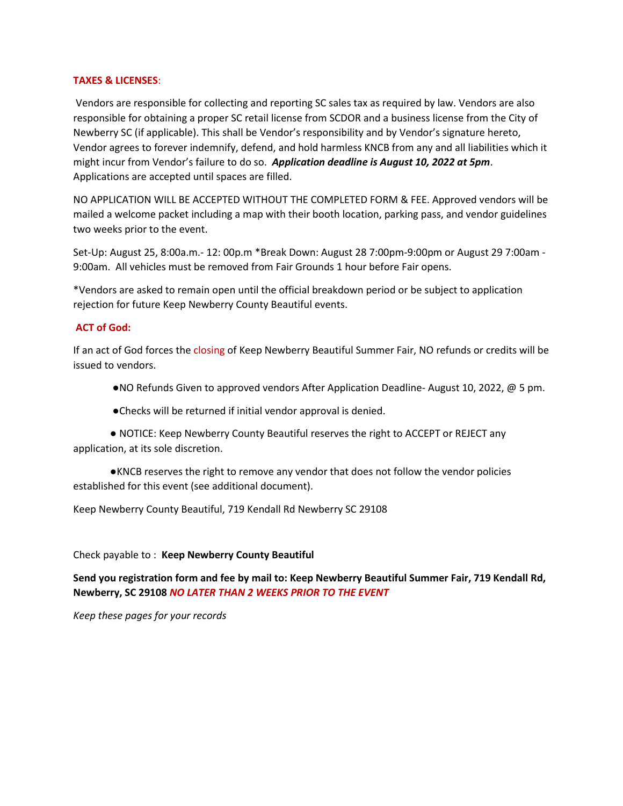#### **TAXES & LICENSES**:

Vendors are responsible for collecting and reporting SC sales tax as required by law. Vendors are also responsible for obtaining a proper SC retail license from SCDOR and a business license from the City of Newberry SC (if applicable). This shall be Vendor's responsibility and by Vendor's signature hereto, Vendor agrees to forever indemnify, defend, and hold harmless KNCB from any and all liabilities which it might incur from Vendor's failure to do so. *Application deadline is August 10, 2022 at 5pm*. Applications are accepted until spaces are filled.

NO APPLICATION WILL BE ACCEPTED WITHOUT THE COMPLETED FORM & FEE. Approved vendors will be mailed a welcome packet including a map with their booth location, parking pass, and vendor guidelines two weeks prior to the event.

Set-Up: August 25, 8:00a.m.- 12: 00p.m \*Break Down: August 28 7:00pm-9:00pm or August 29 7:00am - 9:00am. All vehicles must be removed from Fair Grounds 1 hour before Fair opens.

\*Vendors are asked to remain open until the official breakdown period or be subject to application rejection for future Keep Newberry County Beautiful events.

# **ACT of God:**

If an act of God forces the closing of Keep Newberry Beautiful Summer Fair, NO refunds or credits will be issued to vendors.

- ●NO Refunds Given to approved vendors After Application Deadline- August 10, 2022, @ 5 pm.
- ●Checks will be returned if initial vendor approval is denied.

● NOTICE: Keep Newberry County Beautiful reserves the right to ACCEPT or REJECT any application, at its sole discretion.

●KNCB reserves the right to remove any vendor that does not follow the vendor policies established for this event (see additional document).

Keep Newberry County Beautiful, 719 Kendall Rd Newberry SC 29108

#### Check payable to : **Keep Newberry County Beautiful**

**Send you registration form and fee by mail to: Keep Newberry Beautiful Summer Fair, 719 Kendall Rd, Newberry, SC 29108** *NO LATER THAN 2 WEEKS PRIOR TO THE EVENT*

*Keep these pages for your records*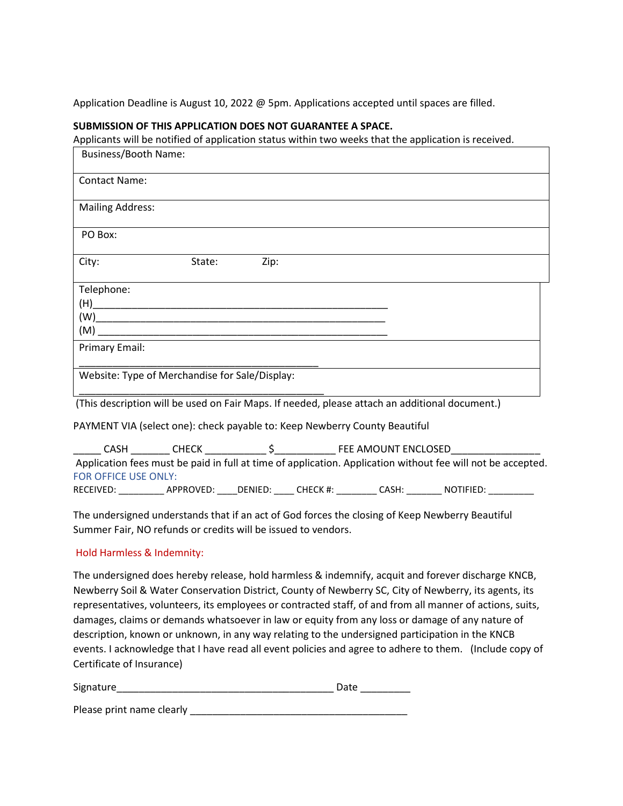Application Deadline is August 10, 2022 @ 5pm. Applications accepted until spaces are filled.

### **SUBMISSION OF THIS APPLICATION DOES NOT GUARANTEE A SPACE.**

Applicants will be notified of application status within two weeks that the application is received.

| Business/Booth Name:                                                       |                                                                                                                                                  |      |  |  |  |
|----------------------------------------------------------------------------|--------------------------------------------------------------------------------------------------------------------------------------------------|------|--|--|--|
| <b>Contact Name:</b>                                                       |                                                                                                                                                  |      |  |  |  |
| <b>Mailing Address:</b>                                                    |                                                                                                                                                  |      |  |  |  |
| PO Box:                                                                    |                                                                                                                                                  |      |  |  |  |
| City:                                                                      | State:                                                                                                                                           | Zip: |  |  |  |
| Telephone:<br><b>Primary Email:</b>                                        |                                                                                                                                                  |      |  |  |  |
|                                                                            | Website: Type of Merchandise for Sale/Display:<br>(This description will be used on Fair Maps. If needed, please attach an additional document.) |      |  |  |  |
| PAYMENT VIA (select one): check payable to: Keep Newberry County Beautiful |                                                                                                                                                  |      |  |  |  |

| CASH                 | <b>CHECK</b> |         |          | FEE AMOUNT ENCLOSED |                                                                                                             |  |
|----------------------|--------------|---------|----------|---------------------|-------------------------------------------------------------------------------------------------------------|--|
|                      |              |         |          |                     | Application fees must be paid in full at time of application. Application without fee will not be accepted. |  |
| FOR OFFICE USE ONLY: |              |         |          |                     |                                                                                                             |  |
| RECEIVED:            | APPROVED:    | DENIED: | CHECK #: | CASH:               | NOTIFIED:                                                                                                   |  |

The undersigned understands that if an act of God forces the closing of Keep Newberry Beautiful Summer Fair, NO refunds or credits will be issued to vendors.

# Hold Harmless & Indemnity:

The undersigned does hereby release, hold harmless & indemnify, acquit and forever discharge KNCB, Newberry Soil & Water Conservation District, County of Newberry SC, City of Newberry, its agents, its representatives, volunteers, its employees or contracted staff, of and from all manner of actions, suits, damages, claims or demands whatsoever in law or equity from any loss or damage of any nature of description, known or unknown, in any way relating to the undersigned participation in the KNCB events. I acknowledge that I have read all event policies and agree to adhere to them. (Include copy of Certificate of Insurance)

| Signature |  |
|-----------|--|
|           |  |

Please print name clearly \_\_\_\_\_\_\_\_\_\_\_\_\_\_\_\_\_\_\_\_\_\_\_\_\_\_\_\_\_\_\_\_\_\_\_\_\_\_\_